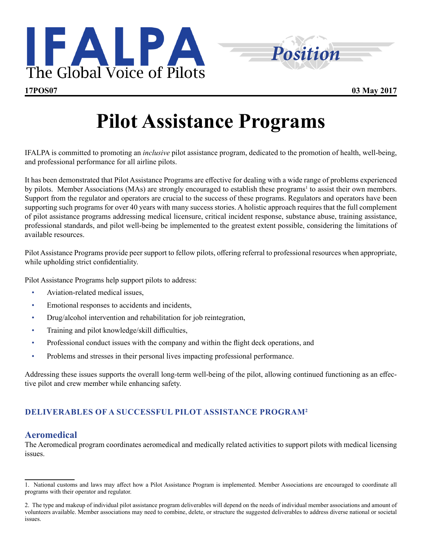



# **Pilot Assistance Programs**

IFALPA is committed to promoting an *inclusive* pilot assistance program, dedicated to the promotion of health, well-being, and professional performance for all airline pilots.

It has been demonstrated that Pilot Assistance Programs are effective for dealing with a wide range of problems experienced by pilots. Member Associations (MAs) are strongly encouraged to establish these programs<sup>1</sup> to assist their own members. Support from the regulator and operators are crucial to the success of these programs. Regulators and operators have been supporting such programs for over 40 years with many success stories. A holistic approach requires that the full complement of pilot assistance programs addressing medical licensure, critical incident response, substance abuse, training assistance, professional standards, and pilot well-being be implemented to the greatest extent possible, considering the limitations of available resources.

Pilot Assistance Programs provide peer support to fellow pilots, offering referral to professional resources when appropriate, while upholding strict confidentiality.

Pilot Assistance Programs help support pilots to address:

- Aviation-related medical issues,
- Emotional responses to accidents and incidents,
- Drug/alcohol intervention and rehabilitation for job reintegration,
- Training and pilot knowledge/skill difficulties,
- Professional conduct issues with the company and within the flight deck operations, and
- Problems and stresses in their personal lives impacting professional performance.

Addressing these issues supports the overall long-term well-being of the pilot, allowing continued functioning as an effective pilot and crew member while enhancing safety.

## **DELIVERABLES OF A SUCCESSFUL PILOT ASSISTANCE PROGRAM2**

## **Aeromedical**

The Aeromedical program coordinates aeromedical and medically related activities to support pilots with medical licensing issues.

<sup>1.</sup> National customs and laws may affect how a Pilot Assistance Program is implemented. Member Associations are encouraged to coordinate all programs with their operator and regulator.

<sup>2.</sup> The type and makeup of individual pilot assistance program deliverables will depend on the needs of individual member associations and amount of volunteers available. Member associations may need to combine, delete, or structure the suggested deliverables to address diverse national or societal issues.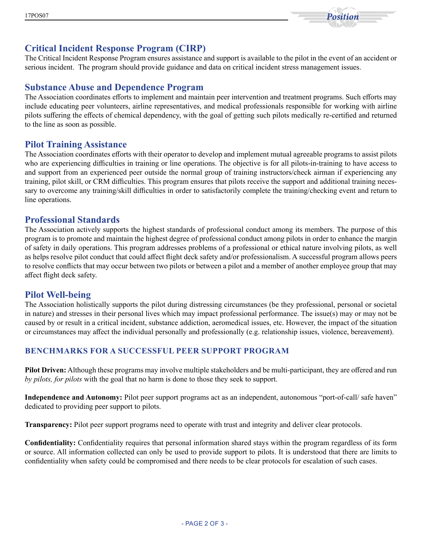

# **Critical Incident Response Program (CIRP)**

The Critical Incident Response Program ensures assistance and support is available to the pilot in the event of an accident or serious incident. The program should provide guidance and data on critical incident stress management issues.

### **Substance Abuse and Dependence Program**

The Association coordinates efforts to implement and maintain peer intervention and treatment programs. Such efforts may include educating peer volunteers, airline representatives, and medical professionals responsible for working with airline pilots suffering the effects of chemical dependency, with the goal of getting such pilots medically re-certified and returned to the line as soon as possible.

#### **Pilot Training Assistance**

The Association coordinates efforts with their operator to develop and implement mutual agreeable programs to assist pilots who are experiencing difficulties in training or line operations. The objective is for all pilots-in-training to have access to and support from an experienced peer outside the normal group of training instructors/check airman if experiencing any training, pilot skill, or CRM difficulties. This program ensures that pilots receive the support and additional training necessary to overcome any training/skill difficulties in order to satisfactorily complete the training/checking event and return to line operations.

#### **Professional Standards**

The Association actively supports the highest standards of professional conduct among its members. The purpose of this program is to promote and maintain the highest degree of professional conduct among pilots in order to enhance the margin of safety in daily operations. This program addresses problems of a professional or ethical nature involving pilots, as well as helps resolve pilot conduct that could affect flight deck safety and/or professionalism. A successful program allows peers to resolve conflicts that may occur between two pilots or between a pilot and a member of another employee group that may affect flight deck safety.

#### **Pilot Well-being**

The Association holistically supports the pilot during distressing circumstances (be they professional, personal or societal in nature) and stresses in their personal lives which may impact professional performance. The issue(s) may or may not be caused by or result in a critical incident, substance addiction, aeromedical issues, etc. However, the impact of the situation or circumstances may affect the individual personally and professionally (e.g. relationship issues, violence, bereavement).

#### **BENCHMARKS FOR A SUCCESSFUL PEER SUPPORT PROGRAM**

**Pilot Driven:** Although these programs may involve multiple stakeholders and be multi-participant, they are offered and run *by pilots, for pilots* with the goal that no harm is done to those they seek to support.

**Independence and Autonomy:** Pilot peer support programs act as an independent, autonomous "port-of-call/ safe haven" dedicated to providing peer support to pilots.

**Transparency:** Pilot peer support programs need to operate with trust and integrity and deliver clear protocols.

**Confidentiality:** Confidentiality requires that personal information shared stays within the program regardless of its form or source. All information collected can only be used to provide support to pilots. It is understood that there are limits to confidentiality when safety could be compromised and there needs to be clear protocols for escalation of such cases.